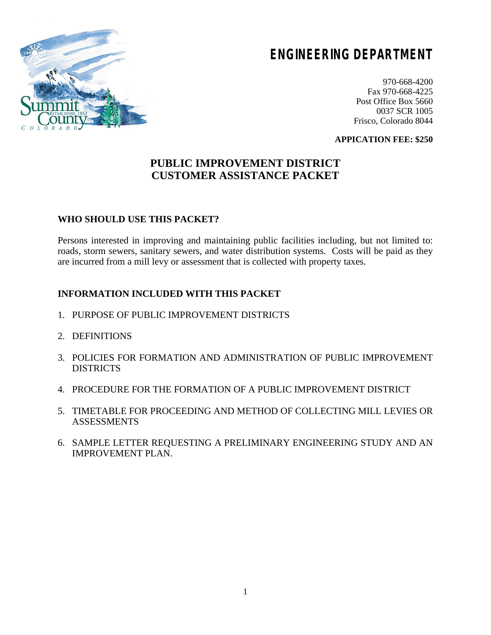

# **ENGINEERING DEPARTMENT**

970-668-4200 Fax 970-668-4225 Post Office Box 5660 0037 SCR 1005 Frisco, Colorado 8044

**APPICATION FEE: \$250**

## **PUBLIC IMPROVEMENT DISTRICT CUSTOMER ASSISTANCE PACKET**

## **WHO SHOULD USE THIS PACKET?**

Persons interested in improving and maintaining public facilities including, but not limited to: roads, storm sewers, sanitary sewers, and water distribution systems. Costs will be paid as they are incurred from a mill levy or assessment that is collected with property taxes.

## **INFORMATION INCLUDED WITH THIS PACKET**

- 1. PURPOSE OF PUBLIC IMPROVEMENT DISTRICTS
- 2. DEFINITIONS
- 3. POLICIES FOR FORMATION AND ADMINISTRATION OF PUBLIC IMPROVEMENT DISTRICTS
- 4. PROCEDURE FOR THE FORMATION OF A PUBLIC IMPROVEMENT DISTRICT
- 5. TIMETABLE FOR PROCEEDING AND METHOD OF COLLECTING MILL LEVIES OR ASSESSMENTS
- 6. SAMPLE LETTER REQUESTING A PRELIMINARY ENGINEERING STUDY AND AN IMPROVEMENT PLAN.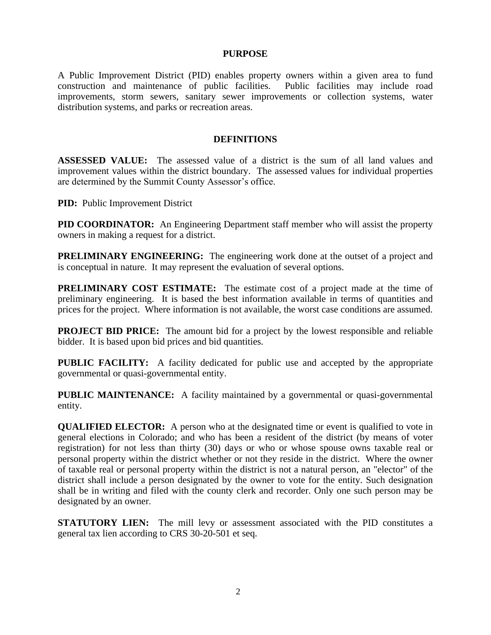#### **PURPOSE**

A Public Improvement District (PID) enables property owners within a given area to fund construction and maintenance of public facilities. Public facilities may include road improvements, storm sewers, sanitary sewer improvements or collection systems, water distribution systems, and parks or recreation areas.

#### **DEFINITIONS**

**ASSESSED VALUE:** The assessed value of a district is the sum of all land values and improvement values within the district boundary. The assessed values for individual properties are determined by the Summit County Assessor's office.

**PID:** Public Improvement District

**PID COORDINATOR:** An Engineering Department staff member who will assist the property owners in making a request for a district.

**PRELIMINARY ENGINEERING:** The engineering work done at the outset of a project and is conceptual in nature. It may represent the evaluation of several options.

**PRELIMINARY COST ESTIMATE:** The estimate cost of a project made at the time of preliminary engineering. It is based the best information available in terms of quantities and prices for the project. Where information is not available, the worst case conditions are assumed.

**PROJECT BID PRICE:** The amount bid for a project by the lowest responsible and reliable bidder. It is based upon bid prices and bid quantities.

**PUBLIC FACILITY:** A facility dedicated for public use and accepted by the appropriate governmental or quasi-governmental entity.

**PUBLIC MAINTENANCE:** A facility maintained by a governmental or quasi-governmental entity.

**QUALIFIED ELECTOR:** A person who at the designated time or event is qualified to vote in general elections in Colorado; and who has been a resident of the district (by means of voter registration) for not less than thirty (30) days or who or whose spouse owns taxable real or personal property within the district whether or not they reside in the district. Where the owner of taxable real or personal property within the district is not a natural person, an "elector" of the district shall include a person designated by the owner to vote for the entity. Such designation shall be in writing and filed with the county clerk and recorder. Only one such person may be designated by an owner.

**STATUTORY LIEN:** The mill levy or assessment associated with the PID constitutes a general tax lien according to CRS 30-20-501 et seq.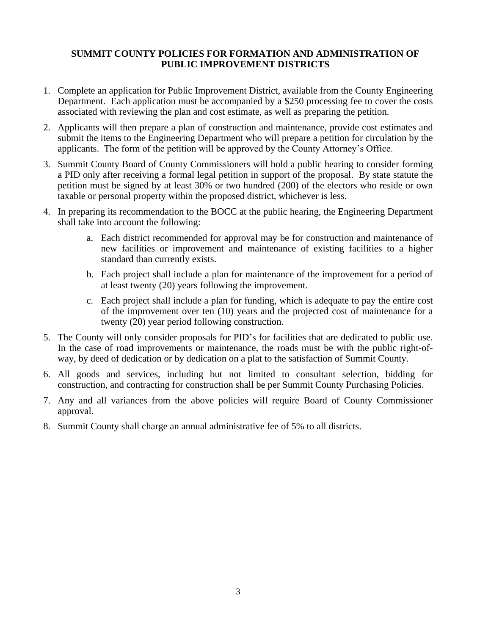## **SUMMIT COUNTY POLICIES FOR FORMATION AND ADMINISTRATION OF PUBLIC IMPROVEMENT DISTRICTS**

- 1. Complete an application for Public Improvement District, available from the County Engineering Department. Each application must be accompanied by a \$250 processing fee to cover the costs associated with reviewing the plan and cost estimate, as well as preparing the petition.
- 2. Applicants will then prepare a plan of construction and maintenance, provide cost estimates and submit the items to the Engineering Department who will prepare a petition for circulation by the applicants. The form of the petition will be approved by the County Attorney's Office.
- 3. Summit County Board of County Commissioners will hold a public hearing to consider forming a PID only after receiving a formal legal petition in support of the proposal. By state statute the petition must be signed by at least 30% or two hundred (200) of the electors who reside or own taxable or personal property within the proposed district, whichever is less.
- 4. In preparing its recommendation to the BOCC at the public hearing, the Engineering Department shall take into account the following:
	- a. Each district recommended for approval may be for construction and maintenance of new facilities or improvement and maintenance of existing facilities to a higher standard than currently exists.
	- b. Each project shall include a plan for maintenance of the improvement for a period of at least twenty (20) years following the improvement.
	- c. Each project shall include a plan for funding, which is adequate to pay the entire cost of the improvement over ten (10) years and the projected cost of maintenance for a twenty (20) year period following construction.
- 5. The County will only consider proposals for PID's for facilities that are dedicated to public use. In the case of road improvements or maintenance, the roads must be with the public right-ofway, by deed of dedication or by dedication on a plat to the satisfaction of Summit County.
- 6. All goods and services, including but not limited to consultant selection, bidding for construction, and contracting for construction shall be per Summit County Purchasing Policies.
- 7. Any and all variances from the above policies will require Board of County Commissioner approval.
- 8. Summit County shall charge an annual administrative fee of 5% to all districts.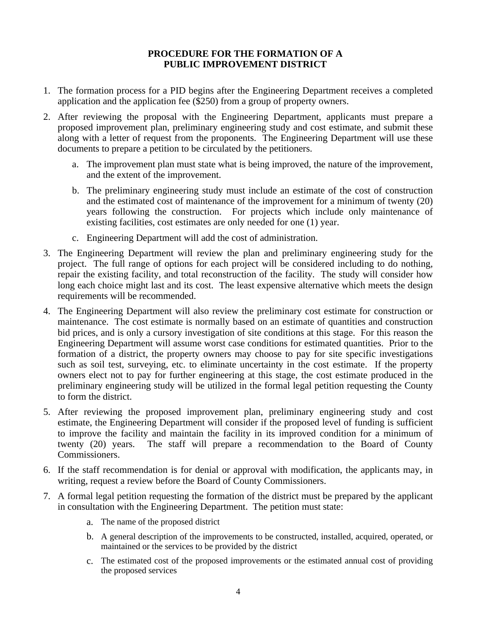## **PROCEDURE FOR THE FORMATION OF A PUBLIC IMPROVEMENT DISTRICT**

- 1. The formation process for a PID begins after the Engineering Department receives a completed application and the application fee (\$250) from a group of property owners.
- 2. After reviewing the proposal with the Engineering Department, applicants must prepare a proposed improvement plan, preliminary engineering study and cost estimate, and submit these along with a letter of request from the proponents. The Engineering Department will use these documents to prepare a petition to be circulated by the petitioners.
	- a. The improvement plan must state what is being improved, the nature of the improvement, and the extent of the improvement.
	- b. The preliminary engineering study must include an estimate of the cost of construction and the estimated cost of maintenance of the improvement for a minimum of twenty (20) years following the construction. For projects which include only maintenance of existing facilities, cost estimates are only needed for one (1) year.
	- c. Engineering Department will add the cost of administration.
- 3. The Engineering Department will review the plan and preliminary engineering study for the project. The full range of options for each project will be considered including to do nothing, repair the existing facility, and total reconstruction of the facility. The study will consider how long each choice might last and its cost. The least expensive alternative which meets the design requirements will be recommended.
- 4. The Engineering Department will also review the preliminary cost estimate for construction or maintenance. The cost estimate is normally based on an estimate of quantities and construction bid prices, and is only a cursory investigation of site conditions at this stage. For this reason the Engineering Department will assume worst case conditions for estimated quantities. Prior to the formation of a district, the property owners may choose to pay for site specific investigations such as soil test, surveying, etc. to eliminate uncertainty in the cost estimate. If the property owners elect not to pay for further engineering at this stage, the cost estimate produced in the preliminary engineering study will be utilized in the formal legal petition requesting the County to form the district.
- 5. After reviewing the proposed improvement plan, preliminary engineering study and cost estimate, the Engineering Department will consider if the proposed level of funding is sufficient to improve the facility and maintain the facility in its improved condition for a minimum of twenty (20) years. The staff will prepare a recommendation to the Board of County Commissioners.
- 6. If the staff recommendation is for denial or approval with modification, the applicants may, in writing, request a review before the Board of County Commissioners.
- 7. A formal legal petition requesting the formation of the district must be prepared by the applicant in consultation with the Engineering Department. The petition must state:
	- a. The name of the proposed district
	- b. A general description of the improvements to be constructed, installed, acquired, operated, or maintained or the services to be provided by the district
	- c. The estimated cost of the proposed improvements or the estimated annual cost of providing the proposed services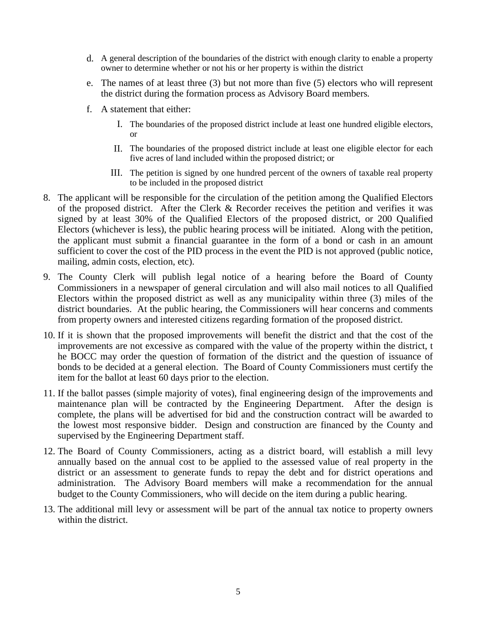- d. A general description of the boundaries of the district with enough clarity to enable a property owner to determine whether or not his or her property is within the district
- e. The names of at least three (3) but not more than five (5) electors who will represent the district during the formation process as Advisory Board members*.*
- f. A statement that either:
	- I. The boundaries of the proposed district include at least one hundred eligible electors, or
	- II. The boundaries of the proposed district include at least one eligible elector for each five acres of land included within the proposed district; or
	- III. The petition is signed by one hundred percent of the owners of taxable real property to be included in the proposed district
- 8. The applicant will be responsible for the circulation of the petition among the Qualified Electors of the proposed district. After the Clerk & Recorder receives the petition and verifies it was signed by at least 30% of the Qualified Electors of the proposed district, or 200 Qualified Electors (whichever is less), the public hearing process will be initiated. Along with the petition, the applicant must submit a financial guarantee in the form of a bond or cash in an amount sufficient to cover the cost of the PID process in the event the PID is not approved (public notice, mailing, admin costs, election, etc).
- 9. The County Clerk will publish legal notice of a hearing before the Board of County Commissioners in a newspaper of general circulation and will also mail notices to all Qualified Electors within the proposed district as well as any municipality within three (3) miles of the district boundaries. At the public hearing, the Commissioners will hear concerns and comments from property owners and interested citizens regarding formation of the proposed district.
- 10. If it is shown that the proposed improvements will benefit the district and that the cost of the improvements are not excessive as compared with the value of the property within the district, t he BOCC may order the question of formation of the district and the question of issuance of bonds to be decided at a general election. The Board of County Commissioners must certify the item for the ballot at least 60 days prior to the election.
- 11. If the ballot passes (simple majority of votes), final engineering design of the improvements and maintenance plan will be contracted by the Engineering Department. After the design is complete, the plans will be advertised for bid and the construction contract will be awarded to the lowest most responsive bidder. Design and construction are financed by the County and supervised by the Engineering Department staff.
- 12. The Board of County Commissioners, acting as a district board, will establish a mill levy annually based on the annual cost to be applied to the assessed value of real property in the district or an assessment to generate funds to repay the debt and for district operations and administration. The Advisory Board members will make a recommendation for the annual budget to the County Commissioners, who will decide on the item during a public hearing.
- 13. The additional mill levy or assessment will be part of the annual tax notice to property owners within the district.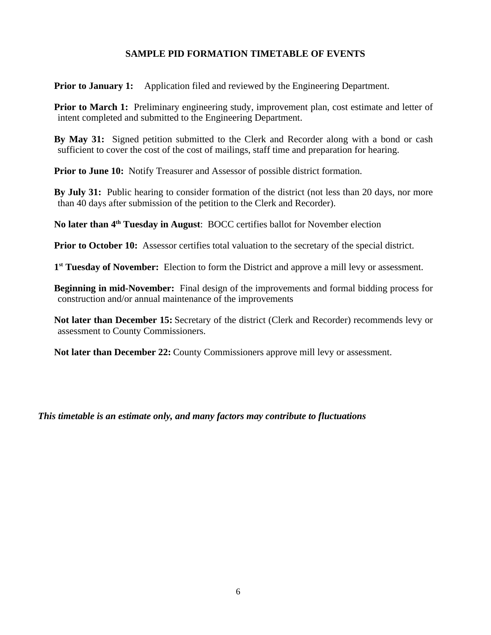## **SAMPLE PID FORMATION TIMETABLE OF EVENTS**

**Prior to January 1:** Application filed and reviewed by the Engineering Department.

**Prior to March 1:** Preliminary engineering study, improvement plan, cost estimate and letter of intent completed and submitted to the Engineering Department.

**By May 31:** Signed petition submitted to the Clerk and Recorder along with a bond or cash sufficient to cover the cost of the cost of mailings, staff time and preparation for hearing.

**Prior to June 10:** Notify Treasurer and Assessor of possible district formation.

**By July 31:** Public hearing to consider formation of the district (not less than 20 days, nor more than 40 days after submission of the petition to the Clerk and Recorder).

No later than 4<sup>th</sup> Tuesday in August: BOCC certifies ballot for November election

**Prior to October 10:** Assessor certifies total valuation to the secretary of the special district.

**1 st Tuesday of November:** Election to form the District and approve a mill levy or assessment.

**Beginning in mid-November:** Final design of the improvements and formal bidding process for construction and/or annual maintenance of the improvements

**Not later than December 15:** Secretary of the district (Clerk and Recorder) recommends levy or assessment to County Commissioners.

**Not later than December 22:** County Commissioners approve mill levy or assessment.

*This timetable is an estimate only, and many factors may contribute to fluctuations*